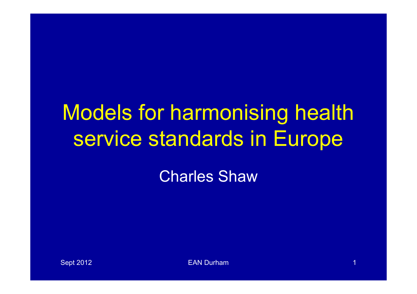# Models for harmonising health service standards in Europe

Charles Shaw

Sept 2012 **EAN Durham 1 EAN Durham** 1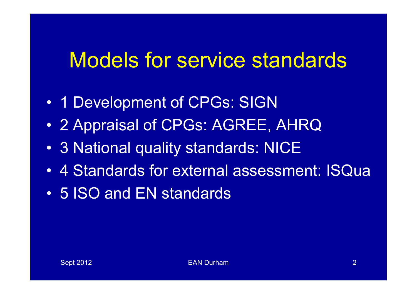#### Models for service standards

- 1 Development of CPGs: SIGN
- 2 Appraisal of CPGs: AGREE, AHRQ
- 3 National quality standards: NICE
- 4 Standards for external assessment: ISQua
- 5 ISO and EN standards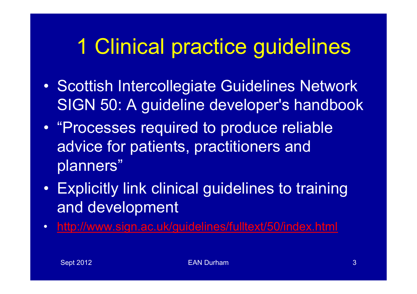## 1 Clinical practice guidelines

- Scottish Intercollegiate Guidelines Network SIGN 50: A guideline developer's handbook
- "Processes required to produce reliable advice for patients, practitioners and planners"
- Explicitly link clinical guidelines to training and development
- http://www.sign.ac.uk/guidelines/fulltext/50/index.html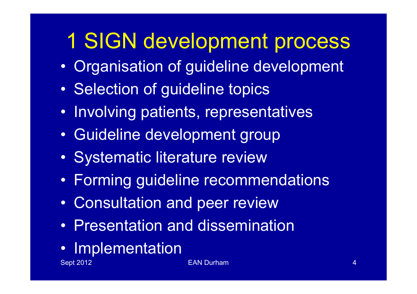## 1 SIGN development process

- Organisation of guideline development
- Selection of guideline topics
- Involving patients, representatives
- Guideline development group
- Systematic literature review
- Forming guideline recommendations
- Consultation and peer review
- Presentation and dissemination
- Implementation

Sept 2012 **EAN Durham 4** And 2012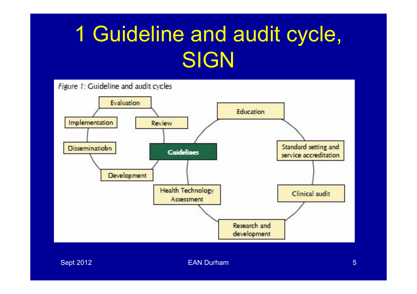# 1 Guideline and audit cycle, SIGN

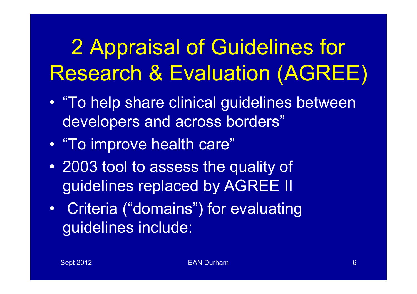# 2 Appraisal of Guidelines for Research & Evaluation (AGREE)

- "To help share clinical guidelines between developers and across borders"
- "To improve health care"
- 2003 tool to assess the quality of guidelines replaced by AGREE II
- Criteria ("domains") for evaluating guidelines include: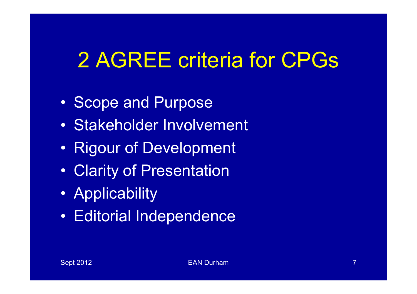## 2 AGREE criteria for CPGs

- Scope and Purpose
- Stakeholder Involvement
- Rigour of Development
- Clarity of Presentation
- Applicability
- Editorial Independence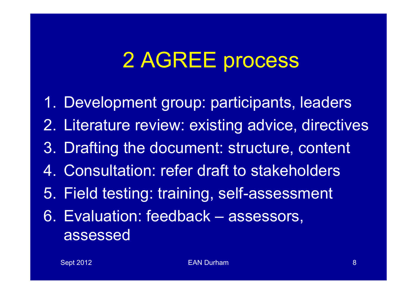# 2 AGREE process

- 1. Development group: participants, leaders
- 2. Literature review: existing advice, directives
- 3. Drafting the document: structure, content
- 4. Consultation: refer draft to stakeholders
- 5. Field testing: training, self-assessment
- 6. Evaluation: feedback assessors, assessed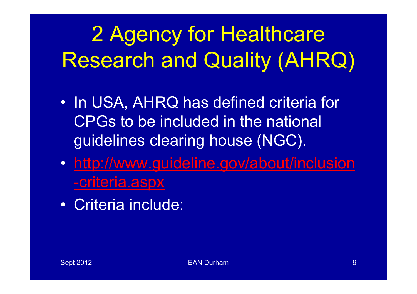# 2 Agency for Healthcare Research and Quality (AHRQ)

- In USA, AHRQ has defined criteria for CPGs to be included in the national guidelines clearing house (NGC).
- http://www.guideline.gov/about/inclusion -criteria.aspx
- Criteria include: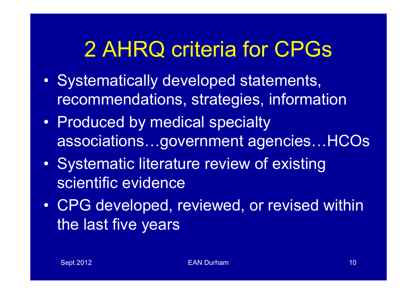## 2 AHRQ criteria for CPGs

- Systematically developed statements, recommendations, strategies, information
- Produced by medical specialty associations…government agencies…HCOs
- Systematic literature review of existing scientific evidence
- CPG developed, reviewed, or revised within the last five years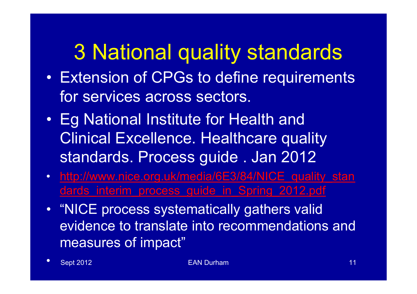### 3 National quality standards

- Extension of CPGs to define requirements for services across sectors.
- Eg National Institute for Health and Clinical Excellence. Healthcare quality standards. Process guide . Jan 2012
- http://www.nice.org.uk/media/6E3/84/NICE quality stan dards interim process guide in Spring 2012.pdf
- "NICE process systematically gathers valid evidence to translate into recommendations and measures of impact"
- Sept 2012 **EAN Durham 11** Sept 2012 **EAN Durham** 11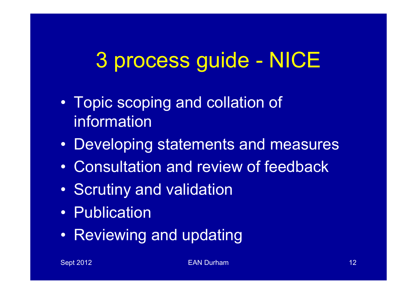## 3 process guide - NICE

- Topic scoping and collation of information
- Developing statements and measures
- Consultation and review of feedback
- Scrutiny and validation
- Publication
- Reviewing and updating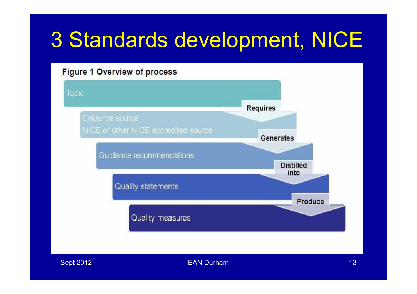## 3 Standards development, NICE

#### Figure 1 Overview of process



Sept 2012 **EAN Durham 13**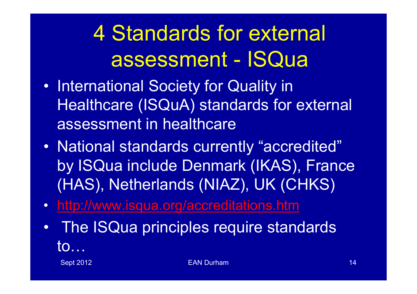4 Standards for external assessment - ISQua

- International Society for Quality in Healthcare (ISQuA) standards for external assessment in healthcare
- National standards currently "accredited" by ISQua include Denmark (IKAS), France (HAS), Netherlands (NIAZ), UK (CHKS)
- http://www.isqua.org/accreditations.htm
- The ISQua principles require standards to…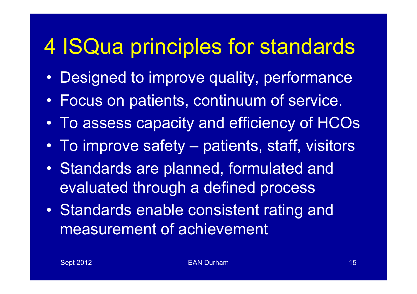### 4 ISQua principles for standards

- Designed to improve quality, performance
- Focus on patients, continuum of service.
- To assess capacity and efficiency of HCOs
- To improve safety patients, staff, visitors
- Standards are planned, formulated and evaluated through a defined process
- Standards enable consistent rating and measurement of achievement